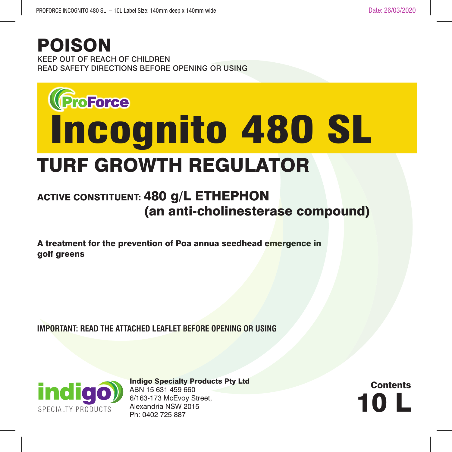## KEEP OUT OF REACH OF CHILDREN READ SAFETY DIRECTIONS BEFORE OPENING OR USING POISON



## TURF GROWTH REGULATOR

## ACTIVE CONSTITUENT: 480 g/L ETHEPHON (an anti-cholinesterase compound)

A treatment for the prevention of Poa annua seedhead emergence in golf greens

**IMPORTANT: READ THE ATTACHED LEAFLET BEFORE OPENING OR USING**



Indigo Specialty Products Pty Ltd ABN 15 631 459 660 6/163-173 McEvoy Street, Alexandria NSW 2015<br>Ph: 0402 725 887  $\frac{1}{6}$  Ph: 0402 725 887<br>Ph: 0402 725 887<br>Ph: 0402 725 887

**Contents**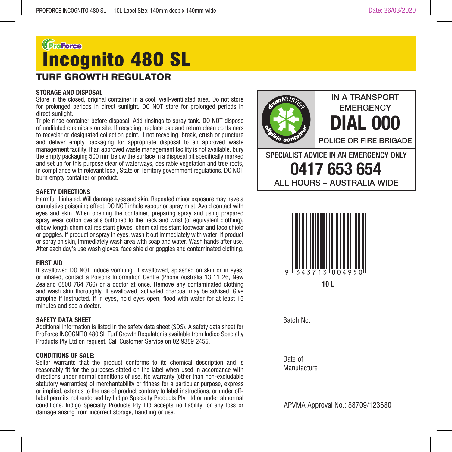## GroForce Incognito 480 SLTURF GROWTH REGULATOR

### **STORAGE AND DISPOSAL**

Store in the closed, original container in a cool, well-ventilated area. Do not store for prolonged periods in direct sunlight. DO NOT store for prolonged periods in direct sunlight

Triple rinse container before disposal. Add rinsings to spray tank. DO NOT dispose of undiluted chemicals on site. If recycling, replace cap and return clean containers to recycler or designated collection point. If not recycling, break, crush or puncture and deliver empty packaging for appropriate disposal to an approved waste management facility. If an approved waste management facility is not available, bury the empty packaging 500 mm below the surface in a disposal pit specifically marked and set up for this purpose clear of waterways, desirable vegetation and tree roots, in compliance with relevant local, State or Territory government regulations. DO NOT burn empty container or product.

### **SAFETY DIRECTIONS**

Harmful if inhaled. Will damage eyes and skin. Repeated minor exposure may have a cumulative poisoning effect. DO NOT inhale vapour or spray mist. Avoid contact with eyes and skin. When opening the container, preparing spray and using prepared spray wear cotton overalls buttoned to the neck and wrist (or equivalent clothing). elbow length chemical resistant gloves, chemical resistant footwear and face shield or goggles. If product or spray in eyes, wash it out immediately with water. If product or spray on skin, immediately wash area with soap and water. Wash hands after use. After each day's use wash gloves, face shield or goggles and contaminated clothing.

### **FIRST AID**

If swallowed DO NOT induce vomiting. If swallowed, splashed on skin or in eyes, or inhaled, contact a Poisons Information Centre (Phone Australia 13 11 26, New Zealand 0800 764 766) or a doctor at once. Remove any contaminated clothing and wash skin thoroughly. If swallowed, activated charcoal may be advised. Give atropine if instructed. If in eyes, hold eyes open, flood with water for at least 15 minutes and see a doctor.

### **SAFETY DATA SHEET**

Additional information is listed in the safety data sheet (SDS). A safety data sheet for ProForce INCOGNITO 480 SL Turf Growth Regulator is available from Indigo Specialty Products Pty Ltd on request. Call Customer Service on 02 9389 2455.

### **CONDITIONS OF SALE:**

Seller warrants that the product conforms to its chemical description and is reasonably fit for the purposes stated on the label when used in accordance with directions under normal conditions of use. No warranty (other than non-excludable statutory warranties) of merchantability or fitness for a particular purpose, express or implied, extends to the use of product contrary to label instructions, or under offlabel permits not endorsed by Indigo Specialty Products Pty Ltd or under abnormal conditions. Indigo Specialty Products Pty Ltd accepts no liability for any loss or damage arising from incorrect storage, handling or use.





Batch No.

Date of Manufacture

APVMA Approval No.: 88709/123680